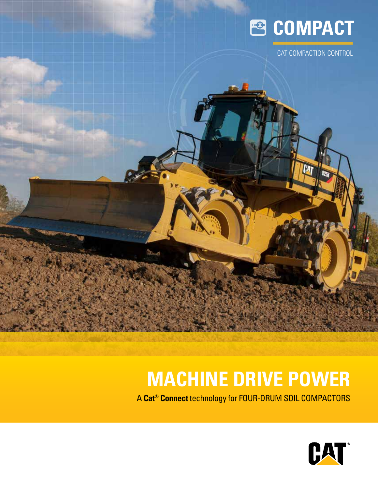

CAT COMPACTION CONTROL

## **MACHINE DRIVE POWER**

A **Cat® Connect** technology for FOUR-DRUM SOIL COMPACTORS

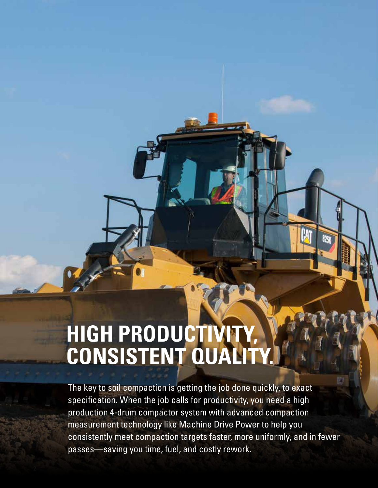## **HIGH PRODUCTIVITY, CONSISTENT QUALITY.**

The key to soil compaction is getting the job done quickly, to exact specification. When the job calls for productivity, you need a high production 4-drum compactor system with advanced compaction measurement technology like Machine Drive Power to help you consistently meet compaction targets faster, more uniformly, and in fewer passes—saving you time, fuel, and costly rework.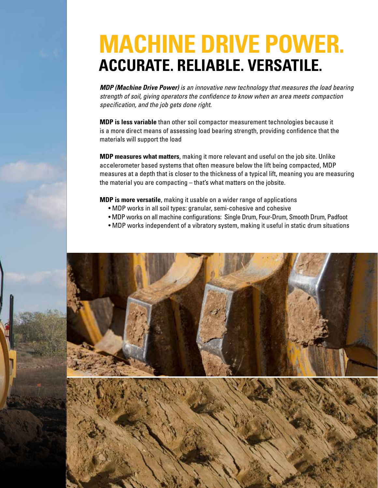## **MACHINE DRIVE POWER. ACCURATE. RELIABLE. VERSATILE.**

*MDP (Machine Drive Power) is an innovative new technology that measures the load bearing strength of soil, giving operators the confidence to know when an area meets compaction specification, and the job gets done right.* 

**MDP is less variable** than other soil compactor measurement technologies because it is a more direct means of assessing load bearing strength, providing confidence that the materials will support the load

**MDP measures what matters**, making it more relevant and useful on the job site. Unlike accelerometer based systems that often measure below the lift being compacted, MDP measures at a depth that is closer to the thickness of a typical lift, meaning you are measuring the material you are compacting – that's what matters on the jobsite.

**MDP is more versatile**, making it usable on a wider range of applications

- MDP works in all soil types: granular, semi-cohesive and cohesive
- MDP works on all machine configurations: Single Drum, Four-Drum, Smooth Drum, Padfoot
- MDP works independent of a vibratory system, making it useful in static drum situations

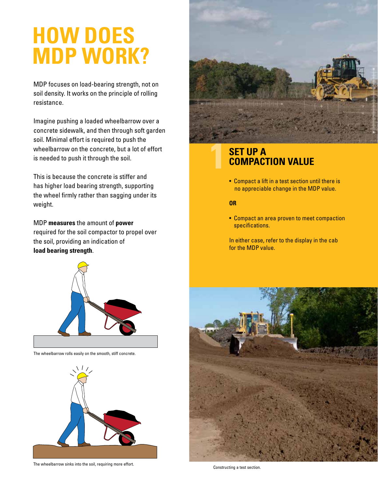## **HOW DOES MDP WORK?**

MDP focuses on load-bearing strength, not on soil density. It works on the principle of rolling resistance.

Imagine pushing a loaded wheelbarrow over a concrete sidewalk, and then through soft garden soil. Minimal effort is required to push the wheelbarrow on the concrete, but a lot of effort is needed to push it through the soil.

This is because the concrete is stiffer and has higher load bearing strength, supporting the wheel firmly rather than sagging under its weight.

MDP **measures** the amount of **power** required for the soil compactor to propel over the soil, providing an indication of **load bearing strength**.



The wheelbarrow rolls easily on the smooth, stiff concrete.



The wheelbarrow sinks into the soil, requiring more effort.



#### **SET UP A COMPACTION VALUE**

• Compact a lift in a test section until there is no appreciable change in the MDP value.

#### **OR**

• Compact an area proven to meet compaction specifications.

In either case, refer to the display in the cab for the MDP value.



Constructing a test section.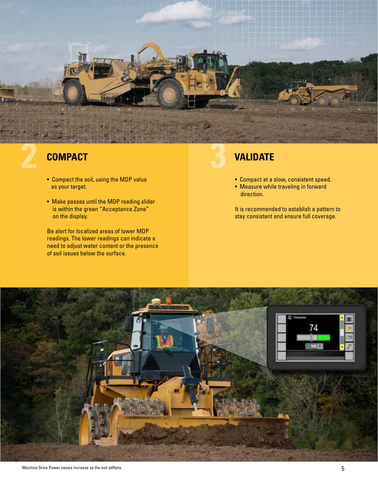

#### **2 COMPACT**

- Compact the soil, using the MDP value as your target.
- Make passes until the MDP reading slider is within the green "Acceptance Zone" on the display.

Be alert for localized areas of lower MDP readings. The lower readings can indicate a need to adjust water content or the presence of soil issues below the surface.

#### **3 VALIDATE**

- Compact at a slow, consistent speed.
- Measure while traveling in forward direction.

It is recommended to establish a pattern to stay consistent and ensure full coverage.

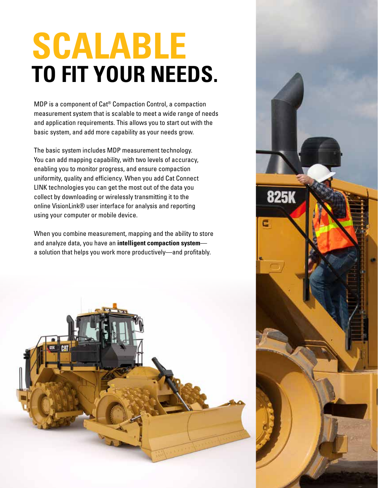# **SCALABLE TO FIT YOUR NEEDS.**

MDP is a component of Cat® Compaction Control, a compaction measurement system that is scalable to meet a wide range of needs and application requirements. This allows you to start out with the basic system, and add more capability as your needs grow.

The basic system includes MDP measurement technology. You can add mapping capability, with two levels of accuracy, enabling you to monitor progress, and ensure compaction uniformity, quality and efficiency. When you add Cat Connect LINK technologies you can get the most out of the data you collect by downloading or wirelessly transmitting it to the online VisionLink® user interface for analysis and reporting using your computer or mobile device.

When you combine measurement, mapping and the ability to store and analyze data, you have an **intelligent compaction system** a solution that helps you work more productively—and profitably.



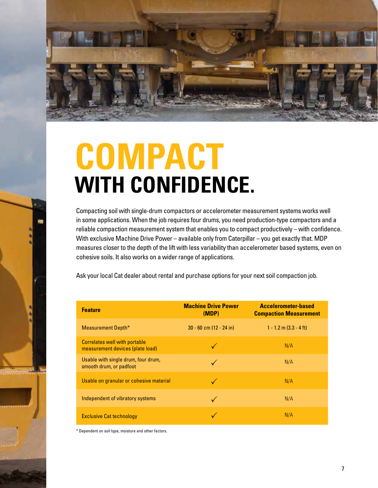

# **COMPACT WITH CONFIDENCE.**

Compacting soil with single-drum compactors or accelerometer measurement systems works well in some applications. When the job requires four drums, you need production-type compactors and a reliable compaction measurement system that enables you to compact productively – with confidence. With exclusive Machine Drive Power – available only from Caterpillar – you get exactly that. MDP measures closer to the depth of the lift with less variability than accelerometer based systems, even on cohesive soils. It also works on a wider range of applications.

Ask your local Cat dealer about rental and purchase options for your next soil compaction job.

| <b>Feature</b>                                                           | <b>Machine Drive Power</b><br>(MDP) | Accelerometer-based<br><b>Compaction Measurement</b> |
|--------------------------------------------------------------------------|-------------------------------------|------------------------------------------------------|
| Measurement Depth*                                                       | $30 - 60$ cm $(12 - 24)$ in         | $1 - 1.2$ m $(3.3 - 4$ ft)                           |
| <b>Correlates well with portable</b><br>measurement devices (plate load) |                                     | N/A                                                  |
| Usable with single drum, four drum,<br>smooth drum, or padfoot           |                                     | N/A                                                  |
| Usable on granular or cohesive material                                  |                                     | N/A                                                  |
| Independent of vibratory systems                                         |                                     | N/A                                                  |
| <b>Exclusive Cat technology</b>                                          |                                     | N/A                                                  |

\* Dependent on soil type, moisture and other factors.